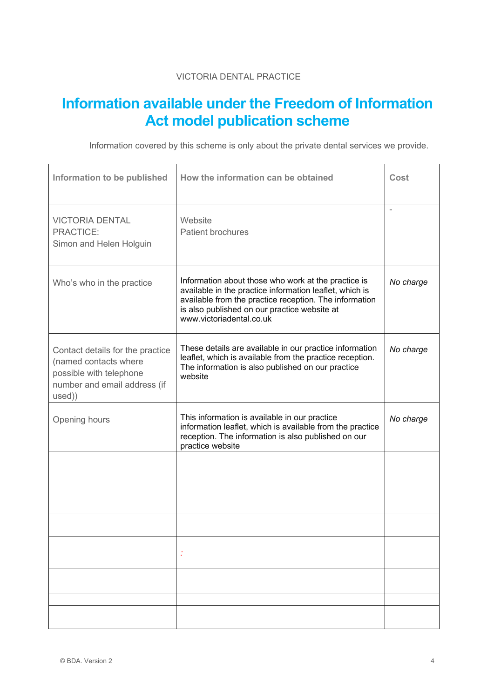## VICTORIA DENTAL PRACTICE

## **Information available under the Freedom of Information Act model publication scheme**

Information covered by this scheme is only about the private dental services we provide.

| Information to be published                                                                                                    | How the information can be obtained                                                                                                                                                                                                                  | Cost                     |
|--------------------------------------------------------------------------------------------------------------------------------|------------------------------------------------------------------------------------------------------------------------------------------------------------------------------------------------------------------------------------------------------|--------------------------|
| <b>VICTORIA DENTAL</b><br>PRACTICE:<br>Simon and Helen Holguin                                                                 | Website<br><b>Patient brochures</b>                                                                                                                                                                                                                  | $\overline{\phantom{a}}$ |
| Who's who in the practice                                                                                                      | Information about those who work at the practice is<br>available in the practice information leaflet, which is<br>available from the practice reception. The information<br>is also published on our practice website at<br>www.victoriadental.co.uk | No charge                |
| Contact details for the practice<br>(named contacts where<br>possible with telephone<br>number and email address (if<br>used)) | These details are available in our practice information<br>leaflet, which is available from the practice reception.<br>The information is also published on our practice<br>website                                                                  | No charge                |
| Opening hours                                                                                                                  | This information is available in our practice<br>information leaflet, which is available from the practice<br>reception. The information is also published on our<br>practice website                                                                | No charge                |
|                                                                                                                                |                                                                                                                                                                                                                                                      |                          |
|                                                                                                                                |                                                                                                                                                                                                                                                      |                          |
|                                                                                                                                |                                                                                                                                                                                                                                                      |                          |
|                                                                                                                                |                                                                                                                                                                                                                                                      |                          |
|                                                                                                                                |                                                                                                                                                                                                                                                      |                          |
|                                                                                                                                |                                                                                                                                                                                                                                                      |                          |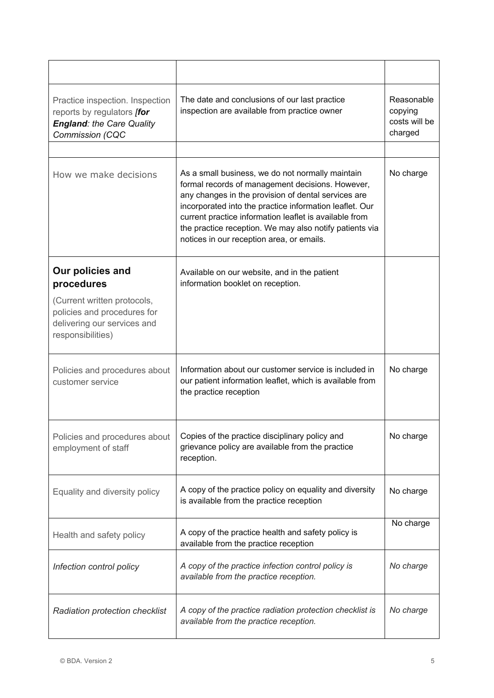| Practice inspection. Inspection<br>reports by regulators [for<br><b>England: the Care Quality</b><br>Commission (CQC | The date and conclusions of our last practice<br>inspection are available from practice owner                                                                                                                                                                                                                                                                                            | Reasonable<br>copying<br>costs will be<br>charged |
|----------------------------------------------------------------------------------------------------------------------|------------------------------------------------------------------------------------------------------------------------------------------------------------------------------------------------------------------------------------------------------------------------------------------------------------------------------------------------------------------------------------------|---------------------------------------------------|
|                                                                                                                      |                                                                                                                                                                                                                                                                                                                                                                                          |                                                   |
| How we make decisions                                                                                                | As a small business, we do not normally maintain<br>formal records of management decisions. However,<br>any changes in the provision of dental services are<br>incorporated into the practice information leaflet. Our<br>current practice information leaflet is available from<br>the practice reception. We may also notify patients via<br>notices in our reception area, or emails. | No charge                                         |
| Our policies and<br>procedures                                                                                       | Available on our website, and in the patient<br>information booklet on reception.                                                                                                                                                                                                                                                                                                        |                                                   |
| (Current written protocols,<br>policies and procedures for<br>delivering our services and<br>responsibilities)       |                                                                                                                                                                                                                                                                                                                                                                                          |                                                   |
| Policies and procedures about<br>customer service                                                                    | Information about our customer service is included in<br>our patient information leaflet, which is available from<br>the practice reception                                                                                                                                                                                                                                              | No charge                                         |
| Policies and procedures about<br>employment of staff                                                                 | Copies of the practice disciplinary policy and<br>grievance policy are available from the practice<br>reception.                                                                                                                                                                                                                                                                         | No charge                                         |
| Equality and diversity policy                                                                                        | A copy of the practice policy on equality and diversity<br>is available from the practice reception                                                                                                                                                                                                                                                                                      | No charge                                         |
| Health and safety policy                                                                                             | A copy of the practice health and safety policy is<br>available from the practice reception                                                                                                                                                                                                                                                                                              | No charge                                         |
| Infection control policy                                                                                             | A copy of the practice infection control policy is<br>available from the practice reception.                                                                                                                                                                                                                                                                                             | No charge                                         |
| Radiation protection checklist                                                                                       | A copy of the practice radiation protection checklist is<br>available from the practice reception.                                                                                                                                                                                                                                                                                       | No charge                                         |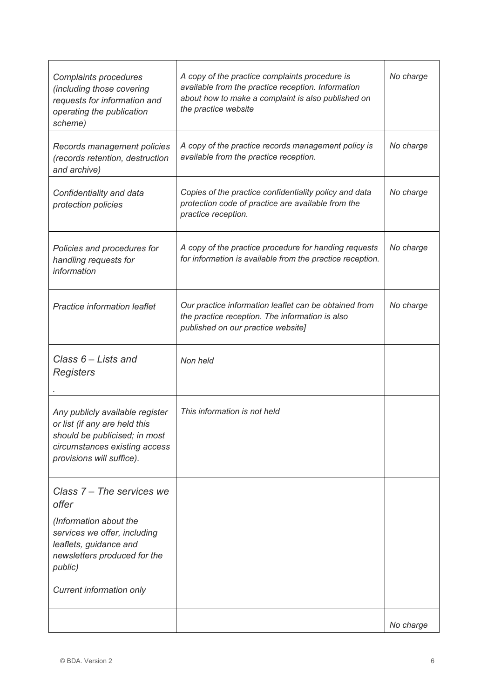| Complaints procedures<br>(including those covering<br>requests for information and<br>operating the publication<br>scheme)                                      | A copy of the practice complaints procedure is<br>available from the practice reception. Information<br>about how to make a complaint is also published on<br>the practice website | No charge |
|-----------------------------------------------------------------------------------------------------------------------------------------------------------------|------------------------------------------------------------------------------------------------------------------------------------------------------------------------------------|-----------|
| Records management policies<br>(records retention, destruction<br>and archive)                                                                                  | A copy of the practice records management policy is<br>available from the practice reception.                                                                                      | No charge |
| Confidentiality and data<br>protection policies                                                                                                                 | Copies of the practice confidentiality policy and data<br>protection code of practice are available from the<br>practice reception.                                                | No charge |
| Policies and procedures for<br>handling requests for<br>information                                                                                             | A copy of the practice procedure for handing requests<br>for information is available from the practice reception.                                                                 | No charge |
| Practice information leaflet                                                                                                                                    | Our practice information leaflet can be obtained from<br>the practice reception. The information is also<br>published on our practice website]                                     | No charge |
| Class $6$ – Lists and<br>Registers                                                                                                                              | Non held                                                                                                                                                                           |           |
| Any publicly available register<br>or list (if any are held this<br>should be publicised; in most<br>circumstances existing access<br>provisions will suffice). | This information is not held                                                                                                                                                       |           |
| Class 7 – The services we<br>offer<br>(Information about the<br>services we offer, including<br>leaflets, guidance and                                          |                                                                                                                                                                                    |           |
| newsletters produced for the<br>public)<br>Current information only                                                                                             |                                                                                                                                                                                    |           |
|                                                                                                                                                                 |                                                                                                                                                                                    | No charge |